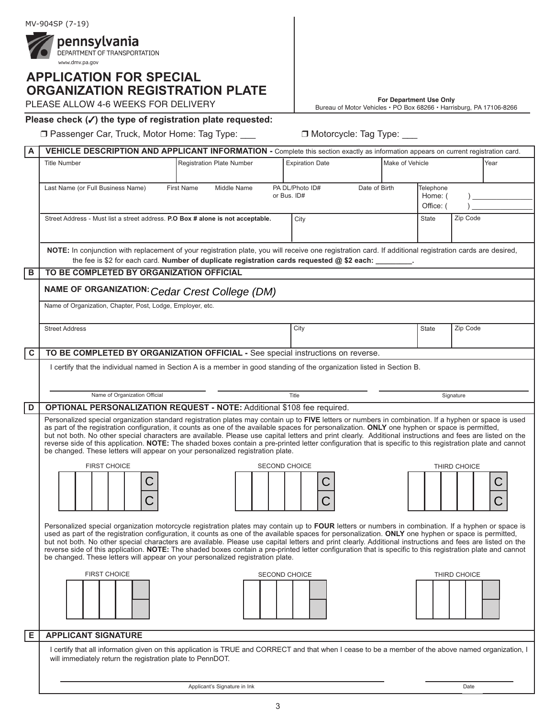

# **APPlicAtiOn FOr SPEciAl OrgAniZAtiOn rEgiStrAtiOn PlAtE**

**For Department Use Only** PLEASE ALLOW 4-6 WEEKS FOR DELIVERY Bureau of Motor Vehicles • PO Box 68266 • Harrisburg, PA 17106-8266

## **Please check (**3**) the type of registration plate requested:**

□ Passenger Car, Truck, Motor Home: Tag Type: \_\_\_ □ Motorcycle: Tag Type: \_\_\_

| A              | VEHICLE DESCRIPTION AND APPLICANT INFORMATION - Complete this section exactly as information appears on current registration card.                                                                                                                                                                                                                                                                                                                                                                                                                                                                                                                                                                                      |                                                                                                     |                                           |  |                                   |              |      |
|----------------|-------------------------------------------------------------------------------------------------------------------------------------------------------------------------------------------------------------------------------------------------------------------------------------------------------------------------------------------------------------------------------------------------------------------------------------------------------------------------------------------------------------------------------------------------------------------------------------------------------------------------------------------------------------------------------------------------------------------------|-----------------------------------------------------------------------------------------------------|-------------------------------------------|--|-----------------------------------|--------------|------|
|                | <b>Title Number</b>                                                                                                                                                                                                                                                                                                                                                                                                                                                                                                                                                                                                                                                                                                     | <b>Registration Plate Number</b>                                                                    | <b>Expiration Date</b><br>Make of Vehicle |  |                                   |              | Year |
|                | Last Name (or Full Business Name)                                                                                                                                                                                                                                                                                                                                                                                                                                                                                                                                                                                                                                                                                       | PA DL/Photo ID#<br><b>First Name</b><br>Middle Name<br>Date of Birth<br>or Bus. ID#                 |                                           |  | Telephone<br>Home: (<br>Office: ( |              |      |
|                | Street Address - Must list a street address. P.O Box # alone is not acceptable.                                                                                                                                                                                                                                                                                                                                                                                                                                                                                                                                                                                                                                         |                                                                                                     | City                                      |  | State                             | Zip Code     |      |
|                | NOTE: In conjunction with replacement of your registration plate, you will receive one registration card. If additional registration cards are desired,                                                                                                                                                                                                                                                                                                                                                                                                                                                                                                                                                                 | the fee is \$2 for each card. Number of duplicate registration cards requested @ \$2 each: _______. |                                           |  |                                   |              |      |
| B              | TO BE COMPLETED BY ORGANIZATION OFFICIAL                                                                                                                                                                                                                                                                                                                                                                                                                                                                                                                                                                                                                                                                                |                                                                                                     |                                           |  |                                   |              |      |
|                | NAME OF ORGANIZATION: Cedar Crest College (DM)                                                                                                                                                                                                                                                                                                                                                                                                                                                                                                                                                                                                                                                                          |                                                                                                     |                                           |  |                                   |              |      |
|                | Name of Organization, Chapter, Post, Lodge, Employer, etc.                                                                                                                                                                                                                                                                                                                                                                                                                                                                                                                                                                                                                                                              |                                                                                                     |                                           |  |                                   |              |      |
|                | <b>Street Address</b>                                                                                                                                                                                                                                                                                                                                                                                                                                                                                                                                                                                                                                                                                                   |                                                                                                     | City                                      |  | State                             | Zip Code     |      |
| C              | TO BE COMPLETED BY ORGANIZATION OFFICIAL - See special instructions on reverse.                                                                                                                                                                                                                                                                                                                                                                                                                                                                                                                                                                                                                                         |                                                                                                     |                                           |  |                                   |              |      |
|                | I certify that the individual named in Section A is a member in good standing of the organization listed in Section B.                                                                                                                                                                                                                                                                                                                                                                                                                                                                                                                                                                                                  |                                                                                                     |                                           |  |                                   |              |      |
|                | Name of Organization Official<br>Title<br>Signature                                                                                                                                                                                                                                                                                                                                                                                                                                                                                                                                                                                                                                                                     |                                                                                                     |                                           |  |                                   |              |      |
| $\overline{D}$ | OPTIONAL PERSONALIZATION REQUEST - NOTE: Additional \$108 fee required.                                                                                                                                                                                                                                                                                                                                                                                                                                                                                                                                                                                                                                                 |                                                                                                     |                                           |  |                                   |              |      |
|                | Personalized special organization standard registration plates may contain up to FIVE letters or numbers in combination. If a hyphen or space is used<br>as part of the registration configuration, it counts as one of the available spaces for personalization. ONLY one hyphen or space is permitted,<br>but not both. No other special characters are available. Please use capital letters and print clearly. Additional instructions and fees are listed on the<br>reverse side of this application. NOTE: The shaded boxes contain a pre-printed letter configuration that is specific to this registration plate and cannot<br>be changed. These letters will appear on your personalized registration plate.   |                                                                                                     |                                           |  |                                   |              |      |
|                | <b>FIRST CHOICE</b>                                                                                                                                                                                                                                                                                                                                                                                                                                                                                                                                                                                                                                                                                                     |                                                                                                     | <b>SECOND CHOICE</b>                      |  |                                   | THIRD CHOICE |      |
|                |                                                                                                                                                                                                                                                                                                                                                                                                                                                                                                                                                                                                                                                                                                                         |                                                                                                     |                                           |  |                                   |              |      |
|                | Personalized special organization motorcycle registration plates may contain up to FOUR letters or numbers in combination. If a hyphen or space is<br>used as part of the registration configuration, it counts as one of the available spaces for personalization. ONLY one hyphen or space is permitted,<br>but not both. No other special characters are available. Please use capital letters and print clearly. Additional instructions and fees are listed on the<br>reverse side of this application. NOTE: The shaded boxes contain a pre-printed letter configuration that is specific to this registration plate and cannot<br>be changed. These letters will appear on your personalized registration plate. |                                                                                                     |                                           |  |                                   |              |      |
|                | <b>FIRST CHOICE</b>                                                                                                                                                                                                                                                                                                                                                                                                                                                                                                                                                                                                                                                                                                     |                                                                                                     | <b>SECOND CHOICE</b>                      |  |                                   | THIRD CHOICE |      |
| Е              | <b>APPLICANT SIGNATURE</b>                                                                                                                                                                                                                                                                                                                                                                                                                                                                                                                                                                                                                                                                                              |                                                                                                     |                                           |  |                                   |              |      |
|                | I certify that all information given on this application is TRUE and CORRECT and that when I cease to be a member of the above named organization, I<br>will immediately return the registration plate to PennDOT.                                                                                                                                                                                                                                                                                                                                                                                                                                                                                                      |                                                                                                     |                                           |  |                                   |              |      |

3